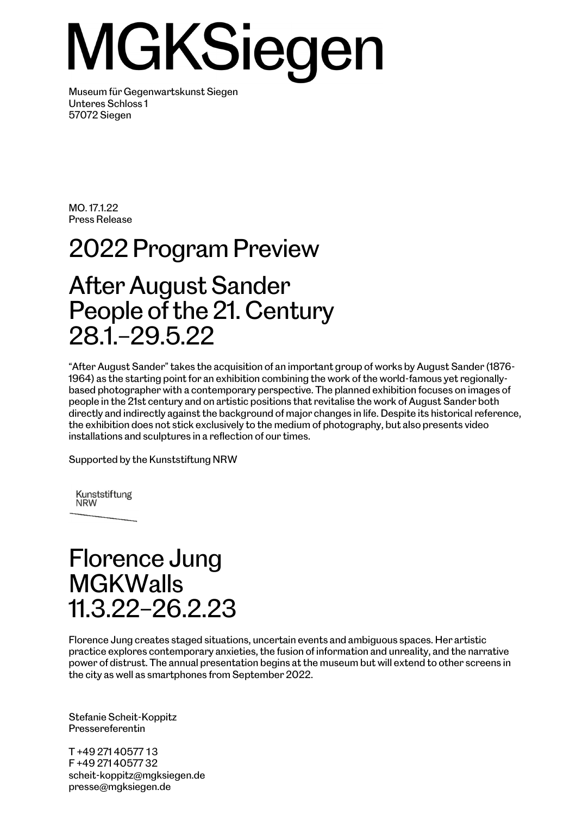# MGKSiegen

Museum für Gegenwartskunst Siegen Unteres Schloss 1 57072 Siegen

MO. 17.1.22 Press Release

## 2022 Program Preview After August Sander People of the 21. Century

28.1.–29.5.22

"After August Sander" takes the acquisition of an important group of works by August Sander (1876- 1964) as the starting point for an exhibition combining the work of the world-famous yet regionallybased photographer with a contemporary perspective. The planned exhibition focuses on images of people in the 21st century and on artistic positions that revitalise the work of August Sander both directly and indirectly against the background of major changes in life. Despite its historical reference, the exhibition does not stick exclusively to the medium of photography, but also presents video installations and sculptures in a reflection of our times.

Supported by the Kunststiftung NRW

Kunststiftung **NRW** 

#### Florence Jung **MGKWalls** 11.3.22–26.2.23

Florence Jung creates staged situations, uncertain events and ambiguous spaces. Her artistic practice explores contemporary anxieties, the fusion of information and unreality, and the narrative power of distrust. The annual presentation begins at the museum but will extend to other screens in the city as well as smartphones from September 2022.

Stefanie Scheit-Koppitz Pressereferentin

T +49 271 40577 13 F +49 271 40577 32 scheit-koppitz@mgksiegen.de presse@mgksiegen.de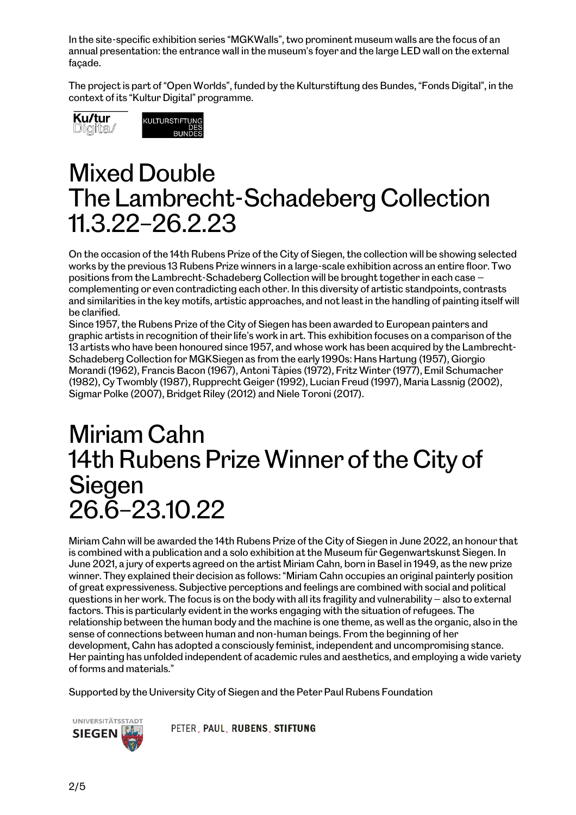In the site-specific exhibition series "MGKWalls", two prominent museum walls are the focus of an annual presentation: the entrance wall in the museum's foyer and the large LED wall on the external façade.

The project is part of "Open Worlds", funded by the Kulturstiftung des Bundes, "Fonds Digital", in the context of its "Kultur Digital" programme.





#### Mixed Double The Lambrecht-Schadeberg Collection 11.3.22–26.2.23

On the occasion of the 14th Rubens Prize of the City of Siegen, the collection will be showing selected works by the previous 13 Rubens Prize winners in a large-scale exhibition across an entire floor. Two positions from the Lambrecht-Schadeberg Collection will be brought together in each case complementing or even contradicting each other. In this diversity of artistic standpoints, contrasts and similarities in the key motifs, artistic approaches, and not least in the handling of painting itself will be clarified.

Since 1957, the Rubens Prize of the City of Siegen has been awarded to European painters and graphic artists in recognition of their life's work in art. This exhibition focuses on a comparison of the 13 artists who have been honoured since 1957, and whose work has been acquired by the Lambrecht-Schadeberg Collection for MGKSiegen as from the early 1990s: Hans Hartung (1957), Giorgio Morandi (1962), Francis Bacon (1967), Antoni Tàpies (1972), Fritz Winter (1977), Emil Schumacher (1982), Cy Twombly (1987), Rupprecht Geiger (1992), Lucian Freud (1997), Maria Lassnig (2002), Sigmar Polke (2007), Bridget Riley (2012) and Niele Toroni (2017).

#### Miriam Cahn 14th Rubens Prize Winner of the City of Siegen 26.6–23.10.22

Miriam Cahn will be awarded the 14th Rubens Prize of the City of Siegen in June 2022, an honour that is combined with a publication and a solo exhibition at the Museum für Gegenwartskunst Siegen. In June 2021, a jury of experts agreed on the artist Miriam Cahn, born in Basel in 1949, as the new prize winner. They explained their decision as follows: "Miriam Cahn occupies an original painterly position of great expressiveness. Subjective perceptions and feelings are combined with social and political questions in her work. The focus is on the body with all its fragility and vulnerability — also to external factors. This is particularly evident in the works engaging with the situation of refugees. The relationship between the human body and the machine is one theme, as well as the organic, also in the sense of connections between human and non-human beings. From the beginning of her development, Cahn has adopted a consciously feminist, independent and uncompromising stance. Her painting has unfolded independent of academic rules and aesthetics, and employing a wide variety of forms and materials."

Supported by the University City of Siegen and the Peter Paul Rubens Foundation



PETER PAUL RUBENS STIFTUNG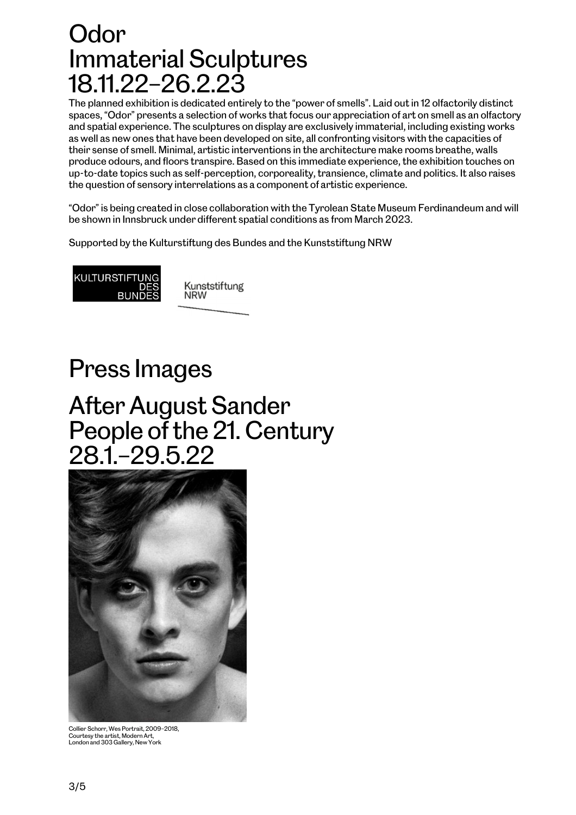#### Odor Immaterial Sculptures 18.11.22–26.2.23

The planned exhibition is dedicated entirely to the "power of smells". Laid out in 12 olfactorily distinct spaces, "Odor" presents a selection of works that focus our appreciation of art on smell as an olfactory and spatial experience. The sculptures on display are exclusively immaterial, including existing works as well as new ones that have been developed on site, all confronting visitors with the capacities of their sense of smell. Minimal, artistic interventions in the architecture make rooms breathe, walls produce odours, and floors transpire. Based on this immediate experience, the exhibition touches on up-to-date topics such as self-perception, corporeality, transience, climate and politics. It also raises the question of sensory interrelations as a component of artistic experience.

"Odor" is being created in close collaboration with the Tyrolean State Museum Ferdinandeum and will be shown in Innsbruck under different spatial conditions as from March 2023.

Supported by the Kulturstiftung des Bundes and the Kunststiftung NRW



#### Press Images

#### After August Sander People of the 21. Century 28.1.–29.5.22



Collier Schorr, Wes Portrait, 2009–2018,<br>Courtesy the artist, Modern Art,<br>London and 303 Gallery, New York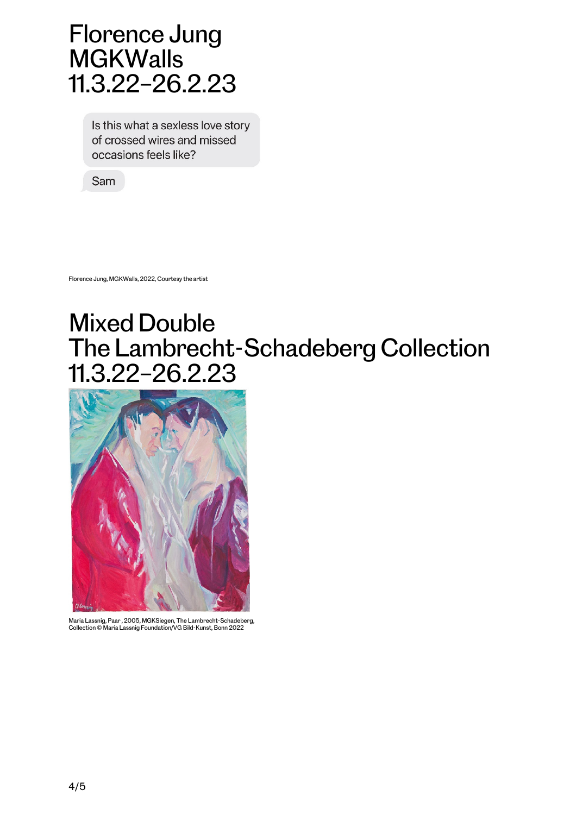#### Florence Jung **MGKWalls** 11.3.22–26.2.23

Is this what a sexless love story of crossed wires and missed occasions feels like?

Sam

Florence Jung, MGKWalls, 2022, Courtesy the artist

### Mixed Double The Lambrecht-Schadeberg Collection 11.3.22–26.2.23



Maria Lassnig, Paar , 2005, MGKSiegen, The Lambrecht-Schadeberg, Collection © Maria Lassnig Foundation/VG Bild-Kunst, Bonn 2022